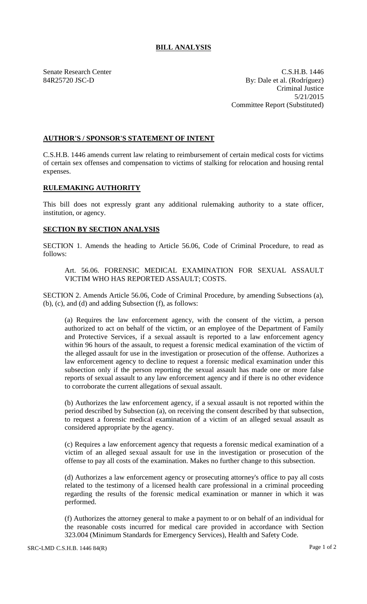## **BILL ANALYSIS**

Senate Research Center C.S.H.B. 1446 84R25720 JSC-D By: Dale et al. (Rodríguez) Criminal Justice 5/21/2015 Committee Report (Substituted)

## **AUTHOR'S / SPONSOR'S STATEMENT OF INTENT**

C.S.H.B. 1446 amends current law relating to reimbursement of certain medical costs for victims of certain sex offenses and compensation to victims of stalking for relocation and housing rental expenses.

## **RULEMAKING AUTHORITY**

This bill does not expressly grant any additional rulemaking authority to a state officer, institution, or agency.

## **SECTION BY SECTION ANALYSIS**

SECTION 1. Amends the heading to Article 56.06, Code of Criminal Procedure, to read as follows:

Art. 56.06. FORENSIC MEDICAL EXAMINATION FOR SEXUAL ASSAULT VICTIM WHO HAS REPORTED ASSAULT; COSTS.

SECTION 2. Amends Article 56.06, Code of Criminal Procedure, by amending Subsections (a), (b), (c), and (d) and adding Subsection (f), as follows:

(a) Requires the law enforcement agency, with the consent of the victim, a person authorized to act on behalf of the victim, or an employee of the Department of Family and Protective Services, if a sexual assault is reported to a law enforcement agency within 96 hours of the assault, to request a forensic medical examination of the victim of the alleged assault for use in the investigation or prosecution of the offense. Authorizes a law enforcement agency to decline to request a forensic medical examination under this subsection only if the person reporting the sexual assault has made one or more false reports of sexual assault to any law enforcement agency and if there is no other evidence to corroborate the current allegations of sexual assault.

(b) Authorizes the law enforcement agency, if a sexual assault is not reported within the period described by Subsection (a), on receiving the consent described by that subsection, to request a forensic medical examination of a victim of an alleged sexual assault as considered appropriate by the agency.

(c) Requires a law enforcement agency that requests a forensic medical examination of a victim of an alleged sexual assault for use in the investigation or prosecution of the offense to pay all costs of the examination. Makes no further change to this subsection.

(d) Authorizes a law enforcement agency or prosecuting attorney's office to pay all costs related to the testimony of a licensed health care professional in a criminal proceeding regarding the results of the forensic medical examination or manner in which it was performed.

(f) Authorizes the attorney general to make a payment to or on behalf of an individual for the reasonable costs incurred for medical care provided in accordance with Section 323.004 (Minimum Standards for Emergency Services), Health and Safety Code.